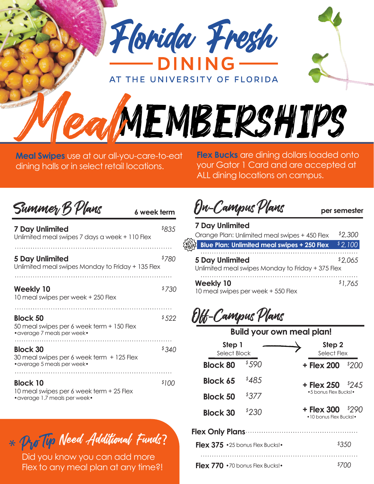

AT THE UNIVERSITY OF FLORIDA

**Meal Swipes** use at our all-you-care-to-eat dining halls or in select retail locations.

**Flex Bucks** are dining dollars loaded onto your Gator 1 Card and are accepted at ALL dining locations on campus.

| Summer B Plans<br>6 week term                                                                |       |
|----------------------------------------------------------------------------------------------|-------|
| <b>7 Day Unlimited</b><br>Unlimited meal swipes 7 days a week + 110 Flex                     | \$835 |
| 5 Day Unlimited<br>Unlimited meal swipes Monday to Friday + 135 Flex                         | \$780 |
| <b>Weekly 10</b><br>10 meal swipes per week + 250 Flex                                       | \$730 |
| <b>Block 50</b><br>50 meal swipes per 6 week term + 150 Flex<br>• average 7 meals per week•  | \$522 |
| <b>Block 30</b><br>30 meal swipes per 6 week term + 125 Flex<br>• average 5 meals per week•  | 8340  |
| <b>Block 10</b><br>10 meal swipes per 6 week term + 25 Flex<br>• average 1.7 meals per week• | \$100 |

 $*$  Pro Tip Need Additional Funds?

Did you know you can add more Flex to any meal plan at any time?!

On-Campus Plans

MealMEMBERSHIPS

 **per semester**

| <b>7 Day Unlimited</b>                                                      |         |
|-----------------------------------------------------------------------------|---------|
| Orange Plan: Unlimited meal swipes + 450 Flex                               | \$2,300 |
| <b>Blue Plan: Unlimited meal swipes + 250 Flex</b>                          | \$2,100 |
| <b>5 Day Unlimited</b><br>Unlimited meal swipes Monday to Friday + 375 Flex | \$2.065 |
| <b>Weekly 10</b><br>10 meal swipes per week + 550 Flex                      | \$1.765 |

## Off-Campus Plans

## **Build your own meal plan!**

| Step 1<br>Select Block                               |        | Step 2<br>Select Flex                  |  |  |
|------------------------------------------------------|--------|----------------------------------------|--|--|
| <b>Block 80</b>                                      | \$590  | \$200<br>+ Flex 200                    |  |  |
| <b>Block 65</b>                                      | \$48.5 | + Flex 250<br>\$24.5                   |  |  |
| <b>Block 50</b>                                      | \$377  | •5 bonus Flex Bucks!•                  |  |  |
| <b>Block 30</b>                                      | \$230  | + Flex 300<br>• 10 bonus Flex Bucks! • |  |  |
| <b>Flex Only Plans</b>                               |        |                                        |  |  |
| <b>Flex 375</b> $\cdot$ 25 bonus Flex Bucks! $\cdot$ |        | \$350                                  |  |  |
| <b>Flex 770</b> $\cdot$ 70 bonus Flex Bucks! $\cdot$ |        |                                        |  |  |